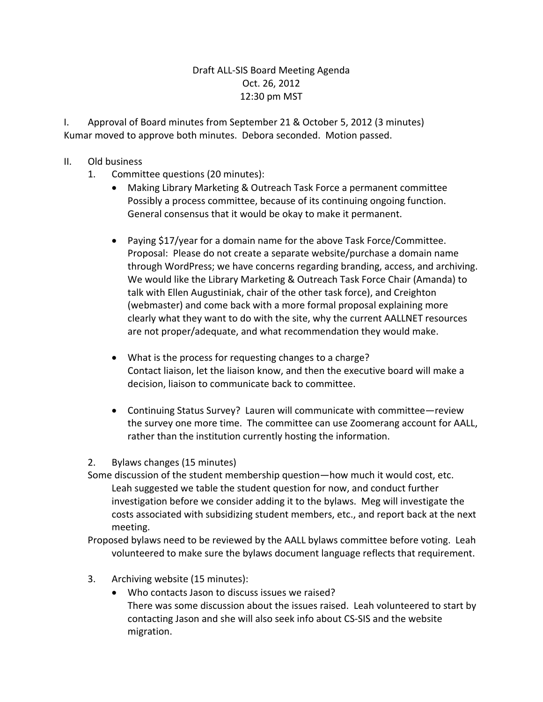## Draft ALL-SIS Board Meeting Agenda Oct. 26, 2012 12:30 pm MST

I. Approval of Board minutes from September 21 & October 5, 2012 (3 minutes) Kumar moved to approve both minutes. Debora seconded. Motion passed.

## II. Old business

- 1. Committee questions (20 minutes):
	- Making Library Marketing & Outreach Task Force a permanent committee Possibly a process committee, because of its continuing ongoing function. General consensus that it would be okay to make it permanent.
	- Paying \$17/year for a domain name for the above Task Force/Committee. Proposal: Please do not create a separate website/purchase a domain name through WordPress; we have concerns regarding branding, access, and archiving. We would like the Library Marketing & Outreach Task Force Chair (Amanda) to talk with Ellen Augustiniak, chair of the other task force), and Creighton (webmaster) and come back with a more formal proposal explaining more clearly what they want to do with the site, why the current AALLNET resources are not proper/adequate, and what recommendation they would make.
	- What is the process for requesting changes to a charge? Contact liaison, let the liaison know, and then the executive board will make a decision, liaison to communicate back to committee.
	- Continuing Status Survey? Lauren will communicate with committee—review the survey one more time. The committee can use Zoomerang account for AALL, rather than the institution currently hosting the information.

2. Bylaws changes (15 minutes)

Some discussion of the student membership question—how much it would cost, etc. Leah suggested we table the student question for now, and conduct further investigation before we consider adding it to the bylaws. Meg will investigate the costs associated with subsidizing student members, etc., and report back at the next meeting.

Proposed bylaws need to be reviewed by the AALL bylaws committee before voting. Leah volunteered to make sure the bylaws document language reflects that requirement.

- 3. Archiving website (15 minutes):
	- Who contacts Jason to discuss issues we raised? There was some discussion about the issues raised. Leah volunteered to start by contacting Jason and she will also seek info about CS-SIS and the website migration.